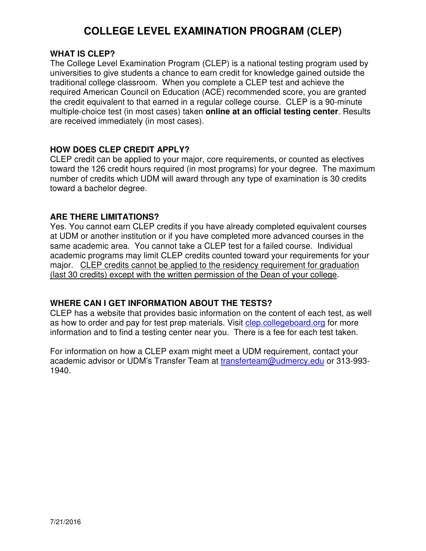## **COLLEGE LEVEL EXAMINATION PROGRAM (CLEP)**

#### **WHAT IS CLEP?**

The College Level Examination Program (CLEP) is a national testing program used by universities to give students a chance to earn credit for knowledge gained outside the traditional college classroom. When you complete a CLEP test and achieve the required American Council on Education (ACE) recommended score, you are granted the credit equivalent to that earned in a regular college course. CLEP is a 90-minute multiple-choice test (in most cases) taken **online at an official testing center**. Results are received immediately (in most cases).

#### **HOW DOES CLEP CREDIT APPLY?**

CLEP credit can be applied to your major, core requirements, or counted as electives toward the 126 credit hours required (in most programs) for your degree. The maximum number of credits which UDM will award through any type of examination is 30 credits toward a bachelor degree.

#### **ARE THERE LIMITATIONS?**

Yes. You cannot earn CLEP credits if you have already completed equivalent courses at UDM or another institution or if you have completed more advanced courses in the same academic area. You cannot take a CLEP test for a failed course. Individual academic programs may limit CLEP credits counted toward your requirements for your major. CLEP credits cannot be applied to the residency requirement for graduation (last 30 credits) except with the written permission of the Dean of your college.

### **WHERE CAN I GET INFORMATION ABOUT THE TESTS?**

CLEP has a website that provides basic information on the content of each test, as well as how to order and pay for test prep materials. Visit clep.collegeboard.org for more information and to find a testing center near you. There is a fee for each test taken.

For information on how a CLEP exam might meet a UDM requirement, contact your academic advisor or UDM's Transfer Team at transferteam@udmercy.edu or 313-993-1940.